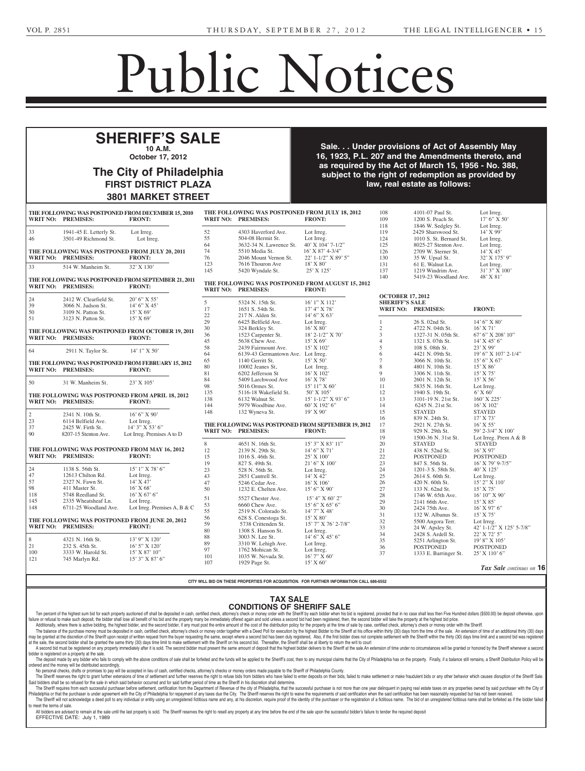## Public Notices

**SOKLOVE, ANN** -- Ellen Soklove, Executrix, c/o Justin H.

**STALLSMITH, ELIZABETH W**.

## **NOTICE TO CALCE** of June 30, 1972 (Act No. 164) **The City of Philadelphia** of grant of letters to contain AIFF'S SALF **SHERIFF'S SALE 10 A.M. October 17, 2012** Ste. 1, Rockledge, PA 19046.

**as JOHN KEENAN)** -- Elizabeth

3801 MARKET STREET

**FIRST DISTRICT PLAZA** 

Philadelphia, PA 19103; Warren J. Kauffman, Attorney, White and Williams, Leonard and Leonard and Leonard and Leonard and Leonard and Leonard and Leonard and Leonard and Leonard and Leonard and Leonard and Leonard and Leonard and Leonard and Leonard and Leonard and Leonard and Leonard Street, Suite 1800, Philadelphia,

9-20-3

PA 19103.

Brown, Esquire, 1810 Chapel Ave enue West, Cherry Hill, NJ<br>San Maria Hill, NJ San Maria Hill, NJ San Maria Hill, NJ San Maria Hill, NJ San Maria Hill, NJ San Maria Hill, decrease the community of the committee on the committed and the second that the same of the same of the same o<br>The Amendments thereto, and ney, Flasher, Flasher, Flasher, Flasher, Flasher, Flasher, Flasher, Flasher, Flasher, Flasher, Flasher, Flasher, Flasher, Flasher, Flasher, Flasher, Flasher, Flasher, Flasher, Flasher, Flasher, Flasher, Flasher, Flasher, F 1810 Chapel Avenue West, Cher-**West Elizabet Branch** Sale. . . Under provisions of Act of Assembly May  $\frac{1}{2}$  corporation disponentiation distribution distribution distribution  $\frac{1}{2}$ as required by the Act of March 15, 1956 - No. 388, an on by the rist of materials, tooled the cost,<br>ct to the right of redemption as provided by settled the corporation the corporation of the corporation of the corporation of the corporation of the corpora**in Room 400, City Halles of Sec-**16, 1923, P.L. 207 and the Amendments thereto, and **2012, from 10:00 AM, to 2:00 PM, subject to the right of redemption as provided by** 

9-27-1\*

|                                                                      |                           | JOVI MANNLI JINLLI                                                  |                                                                                       |                                         |                                                                   |                         |                                                              |                                          |
|----------------------------------------------------------------------|---------------------------|---------------------------------------------------------------------|---------------------------------------------------------------------------------------|-----------------------------------------|-------------------------------------------------------------------|-------------------------|--------------------------------------------------------------|------------------------------------------|
|                                                                      | WRIT NO: PREMISES:        | THE FOLLOWING WAS POSTPONED FROM DECEMBER 15, 2010<br><b>FRONT:</b> | THE FOLLOWING WAS POSTPONED FROM JULY 18, 2012<br>WRIT NO: PREMISES:<br><b>FRONT:</b> |                                         |                                                                   | 108<br>109<br>118       | 4101-07 Paul St.<br>1200 S. Peach St.<br>1846 W. Sedgley St. | Lot Irreg.<br>17' 6" X 50'<br>Lot Irreg. |
| 33                                                                   | 1941-45 E. Letterly St.   | Lot Irreg.                                                          | 52                                                                                    | 4303 Haverford Ave.                     | Lot Irreg.                                                        | 119                     | 2429 Sharswood St.                                           | 14' X 99'                                |
| 46                                                                   | 3501-49 Richmond St.      | Lot Irreg.                                                          | 55                                                                                    | 504-08 Hermit St.                       | Lot Irreg.                                                        | 124                     | 1010 S. St. Bernard St.                                      | Lot Irreg.                               |
|                                                                      |                           |                                                                     | 64                                                                                    | 3632-34 N. Lawrence St.                 | 40' X 104' 7-1/2"                                                 | 125                     | 8025-27 Stenton Ave.                                         | Lot Irreg.                               |
|                                                                      |                           |                                                                     | 74                                                                                    |                                         | $16'$ X 87' 4-3/4"                                                | 126                     |                                                              | $14'$ X $45'$                            |
|                                                                      |                           | THE FOLLOWING WAS POSTPONED FROM JULY 20, 2011                      | 76                                                                                    | 5510 Media St.<br>2046 Mount Vernon St. |                                                                   |                         | 2709 W. Sterner St.                                          |                                          |
|                                                                      | WRIT NO: PREMISES:        | <b>FRONT:</b>                                                       |                                                                                       |                                         | 22' 1-1/2" X 89' 5"                                               | 130                     | 35 W. Upsal St.                                              | 32' X 175' 9"                            |
| 33                                                                   | 514 W. Manheim St.        | 32' X 130'                                                          | 123                                                                                   | 7616 Thouron Ave                        | $18'$ X $80'$                                                     | 131                     | 61 E. Walnut Ln.                                             | Lot Irreg.                               |
|                                                                      |                           |                                                                     | 145                                                                                   | 5420 Wyndale St.                        | 25' X 125'                                                        | 137                     | 1219 Windrim Ave.                                            | 31' 3" X 100'                            |
|                                                                      |                           | THE FOLLOWING WAS POSTPONED FROM SEPTEMBER 21, 2011                 |                                                                                       |                                         |                                                                   | 140                     | 5419-23 Woodland Ave.                                        | 48' X 81'                                |
|                                                                      | WRIT NO: PREMISES:        | <b>FRONT:</b>                                                       |                                                                                       | WRIT NO: PREMISES:                      | THE FOLLOWING WAS POSTPONED FROM AUGUST 15, 2012<br><b>FRONT:</b> |                         |                                                              |                                          |
| 24                                                                   | 2412 W. Clearfield St.    | 20' 6" X 55'                                                        |                                                                                       |                                         |                                                                   | <b>OCTOBER 17, 2012</b> |                                                              |                                          |
| 39                                                                   | 3066 N. Judson St.        | 14' 6" X 45'                                                        | 5                                                                                     | 5324 N. 15th St.                        | 16' 1" X 112'                                                     | <b>SHERIFF'S SALE</b>   |                                                              |                                          |
| $50\,$                                                               | 3109 N. Patton St.        | $15'$ X 69'                                                         | 17                                                                                    | 1651 S. 54th St.                        | 17' 4'' X 78'                                                     |                         | WRIT NO: PREMISES:                                           | <b>FRONT:</b>                            |
| 51                                                                   | 3123 N. Patton St.        | 15' X 69'                                                           | 22                                                                                    | 217 N. Alden St.                        | 14' 6'' X 63'                                                     |                         |                                                              |                                          |
|                                                                      |                           |                                                                     | 29                                                                                    | 6425 Belfield Ave.                      | Lot Irreg.                                                        | 1                       | 26 S. 02nd St.                                               | 14' 6'' X 80'                            |
|                                                                      |                           | THE FOLLOWING WAS POSTPONED FROM OCTOBER 19, 2011                   | 30                                                                                    | 324 Berkley St.                         | 16' X 80'                                                         | $\sqrt{2}$              | 4722 N. 04th St.                                             | $16'$ X 71'                              |
|                                                                      | <b>WRIT NO: PREMISES:</b> |                                                                     | 36                                                                                    | 1523 Carpenter St.                      | $18'$ 2- $1/2''$ X 70'                                            | 3                       | 1327-31 N. 05th St.                                          | 67' 6" X 208' 10"                        |
|                                                                      |                           | <b>FRONT:</b>                                                       | 45                                                                                    | 5638 Chew Ave.                          | $15'$ X 69'                                                       | $\overline{4}$          | 1321 S. 07th St.                                             | $14'$ X 45' 6"                           |
|                                                                      |                           |                                                                     | 58                                                                                    | 2439 Fairmount Ave.                     | 15' X 102'                                                        | $\sqrt{5}$              | 108 S. 08th St.                                              | $23'$ X 99'                              |
| 64                                                                   | 2911 N. Taylor St.        | 14' 1" X 50'                                                        | 64                                                                                    | 6139-43 Germantown Ave. Lot Irreg.      |                                                                   | 6                       | 4421 N. 09th St.                                             | 19' 6" X 107' 2-1/4"                     |
|                                                                      |                           |                                                                     | 65                                                                                    | 1140 Gerritt St.                        | $15'$ X 50'                                                       | $\overline{7}$          | 3066 N. 10th St.                                             | 15' 6''  X 67'                           |
|                                                                      |                           | THE FOLLOWING WAS POSTPONED FROM FEBRUARY 15, 2012                  | 80                                                                                    | 10002 Jeanes St,                        | Lot Irreg.                                                        | 8                       | 4801 N. 10th St.                                             | $15'$ X 86'                              |
|                                                                      | WRIT NO: PREMISES:        | <b>FRONT:</b>                                                       | 81                                                                                    | 6202 Jefferson St                       | 16' X 102'                                                        | 9                       | 3306 N. 11th St.                                             | $15'$ X 75'                              |
|                                                                      |                           |                                                                     | 84                                                                                    | 5409 Larchwood Ave                      | 16' X 78'                                                         | 10                      | 2601 N. 12th St.                                             | $15'$ X 56'                              |
| 50                                                                   | 31 W. Manheim St.         | 23' X 105'                                                          | 98                                                                                    |                                         | 15' 11'' X 60'                                                    | 11                      |                                                              | Lot Irreg.                               |
|                                                                      |                           |                                                                     |                                                                                       | 5016 Ormes St.                          |                                                                   |                         | 5835 N. 16th St.                                             | $6'$ X $60'$                             |
|                                                                      |                           | THE FOLLOWING WAS POSTPONED FROM APRIL 18, 2012                     | 135                                                                                   | 5116-18 Wakefield St.                   | 50' X 105'                                                        | 12                      | 1940 S. 19th St.                                             |                                          |
|                                                                      | <b>WRIT NO: PREMISES:</b> | <b>FRONT:</b>                                                       | 138                                                                                   | 6132 Walnut St.                         | 15' 1-1/2" X 93' 6"                                               | 13                      | 3101-19 N. 21st St.                                          | $160'$ X 225'                            |
|                                                                      |                           |                                                                     | 144                                                                                   | 5979 Woodbine Ave.                      | 60' X 192' 6"                                                     | 14                      | 6245 N. 21st St.                                             | $16'$ X $102'$                           |
| $\overline{2}$                                                       | 2341 N. 10th St.          | 16' 6" X 90'                                                        | 148                                                                                   | 132 Wyneva St.                          | 19' X 90'                                                         | 15                      | <b>STAYED</b>                                                | <b>STAYED</b>                            |
| 23                                                                   | 6114 Belfield Ave.        | Lot Irreg.                                                          |                                                                                       |                                         |                                                                   | 16                      | 839 N. 24th St.                                              | 17' X 73'                                |
| 37                                                                   | 2425 W. Firth St.         | 14' 3" X 53' 6"                                                     |                                                                                       |                                         | THE FOLLOWING WAS POSTPONED FROM SEPTEMBER 19, 2012               | 17                      | 2921 N. 27th St.                                             | $16'$ X 55'                              |
| 90                                                                   | 8207-15 Stenton Ave.      | Lot Irreg. Premises A to D                                          |                                                                                       | <b>WRIT NO: PREMISES:</b>               | <b>FRONT:</b>                                                     | 18                      | 929 N. 29th St.                                              | 59' 2-3/4" X 100'                        |
|                                                                      |                           |                                                                     |                                                                                       |                                         |                                                                   | 19                      | 1500-36 N. 31st St.                                          | Lot Irreg. Prem $A \& B$                 |
|                                                                      |                           |                                                                     | 8                                                                                     | 4651 N. 16th St.                        | 15' 3" X 83' 11"                                                  | 20                      | <b>STAYED</b>                                                | <b>STAYED</b>                            |
|                                                                      |                           | THE FOLLOWING WAS POSTPONED FROM MAY 16, 2012                       | 12                                                                                    | 2139 N. 29th St.                        | 14' 6''  X 71'                                                    | $21\,$                  | 438 N. 52nd St.                                              | 16' X 97'                                |
|                                                                      | <b>WRIT NO: PREMISES:</b> | <b>FRONT:</b>                                                       | 15                                                                                    | 1016 S. 46th St.                        | 25' X 100'                                                        | 22                      | <b>POSTPONED</b>                                             | <b>POSTPONED</b>                         |
|                                                                      |                           |                                                                     | 19                                                                                    | 827 S. 49th St.                         | 21' 6" X 100'                                                     | 23                      | 847 S. 56th St.                                              | 16' X 79' 9-7/5"                         |
| 24                                                                   | 1138 S. 56th St.          | $15'1''$ X 78' 6"                                                   | 23                                                                                    | 528 N. 56th St.                         | Lot Irreg.                                                        | 24                      | 1201-3 S. 58th St.                                           | 40' X 125'                               |
| 47                                                                   | 12613 Chilton Rd.         | Lot Irreg.                                                          | 43                                                                                    | 2851 Cantrell St.                       | $14'$ X 42'                                                       | 25                      | 2614 S. 60th St.                                             | Lot Irreg.                               |
| 57                                                                   | 2327 N. Fawn St.          | $14'$ X $47'$                                                       | 47                                                                                    | 5246 Cedar Ave.                         | 16' X 106'                                                        | 26                      | 420 N. 60th St.                                              | 15' 2" X 110'                            |
| 98                                                                   | 411 Master St.            | 16' X 68'                                                           | 50                                                                                    | 1232 E. Chelten Ave.                    | 15' 6'' X 90'                                                     | 27                      | 133 N. 62nd St.                                              | $15'$ X 75'                              |
| 118                                                                  | 5748 Reedland St.         | $16'$ X 67' 6"                                                      |                                                                                       |                                         |                                                                   | 28                      | 1746 W. 65th Ave.                                            | 16' 10" X 90'                            |
| 145                                                                  | 2335 Wheatsheaf Ln.       | Lot Irreg.                                                          | 51                                                                                    | 5527 Chester Ave.                       | 15' 4" X 60' 2"                                                   | 29                      | 2141 66th Ave.                                               | $15'$ X $85'$                            |
| 148                                                                  | 6711-25 Woodland Ave.     | Lot Irreg. Premises A, B & C                                        | 53                                                                                    | 6660 Chew Ave.                          | 15' 6" X 65' 6"                                                   | 30                      | 2424 75th Ave.                                               | 16' X 97' 6"                             |
|                                                                      |                           |                                                                     | 55                                                                                    | 2519 N. Colorado St.                    | 14' 7" X 48'                                                      | 31                      |                                                              |                                          |
|                                                                      |                           |                                                                     | 56                                                                                    | 628 S. Conestoga St.                    | 15' X 80'                                                         |                         | 132 W. Albanus St.                                           | $15'$ X 75'                              |
| THE FOLLOWING WAS POSTPONED FROM JUNE 20, 2012<br>WRIT NO: PREMISES: |                           |                                                                     | 59                                                                                    | 5738 Crittenden St.                     | 15' 7" X 76' 2-7/8"                                               | 32                      | 5500 Angora Terr.                                            | Lot Irreg.                               |
|                                                                      |                           | <b>FRONT:</b>                                                       | 80                                                                                    | 1308 S. Hanson St.                      | Lot Irreg.                                                        | 33                      | 24 W. Apsley St.                                             | 42' 1-1/2" X 125' 5-7/8"                 |
|                                                                      |                           |                                                                     | 88                                                                                    | 3003 N. Lee St.                         | 14' 6" X 45' 6"                                                   | 34                      | 2428 S. Ardell St.                                           | $22'$ X 72' 5"                           |
| 8                                                                    | 4321 N. 16th St.          | 13' 9" X 120'                                                       | 89                                                                                    | 3310 W. Lehigh Ave.                     | Lot Irreg.                                                        | 35                      | 5251 Arlington St.                                           | 19' 8" X 105'                            |
| 21                                                                   | 232 S. 45th St.           | $16'$ 5" X $120'$                                                   | 97                                                                                    | 1762 Mohican St.                        | Lot Irreg.                                                        | 36                      | <b>POSTPONED</b>                                             | <b>POSTPONED</b>                         |
| 100                                                                  | 3333 W. Harold St.        | $15'$ X 87' $10''$                                                  | 101                                                                                   | 1035 W. Nevada St.                      | 16' 7" X 60'                                                      | 37                      | 1333 E. Barringer St.                                        | 25' X 110' 6"                            |
| 121                                                                  | 745 Marlyn Rd.            | 15' 3" X 87' 6"                                                     | 107                                                                                   | 1929 Page St.                           | $15'$ X 60'                                                       |                         |                                                              |                                          |
|                                                                      |                           |                                                                     |                                                                                       |                                         |                                                                   |                         |                                                              | Tax Sale continues on 16                 |
|                                                                      |                           |                                                                     |                                                                                       |                                         |                                                                   |                         |                                                              |                                          |

Stephen M. Clavelli, Executor, Executor, Executor, Executor, Executor, Executor, Executor, Executor, Executor, CITY WILL BID ON THESE PROPERTIES FOR ACQUISITION. FOR FURTHER IN phia, PA 19107. **CITY WILL BID ON THESE PROPERTIES FOR ACQUISITION. FOR FURTHER INFORMATION CALL 686-6552** KAPLIN, STEWART, MELOFF

## TAX SALE -<br>Edice C 910 Harvest Drive **CONDITIONS OF SHERIFF SALE**

**GALLIE FRAGGIOR IS 2000 TO THE SECOND INC.** The bidder shall Frame of retusal to make such deposit, the blue blue is and the secult of the distribution particles in and the property many be immediately one but also and have blue to secult blue in the secult of the secult of the secu failure or refusal to make such deposit, the bidder shall lose all benefit of his bid and the property many be immediately offered again and sold unless a second bid had been registered, then, the second bidder will take t len percent of the highest sum but on the property automated the Summary and the deposited in case, certified the state of money is all the state of the bighest of the bighest of the bighest of the bighest of the state of

The balance of the purchase money in the Saure balance of the Saure Multiple of the Saure of the Saure Saure Saure Saure Multiple Saure Saure Saure Saure Saure Saure Saure Saure Saure Saure Saure Saure Saure Saure Saure Sa n may be granted at the second bidder shall be nearth upon receipt of written request from the buyer requesting the same, except wirefe a second bud as been, except with the Sheriff considerate the Sheriff conduct and the bidder shall be granted the same thirty (30) days time limit to make settlement with the Sheriff on his second bid. Thereafter, the Sheriff shall be at liberty

 $\Gamma$  at the sale, the second bidder shall be granted the same thirty (50) days three limit to make settlement with the one-mi-I bidder is registered on a property at the sale. A second bid must be registered on any property immediately after it is sold. The second bidder must present the same amount of deposit that the highest bidder delivers to the Sheriff at the sale.An extension of time under

The deposit made by any bidder who fails to comply with the above conditions of sale shall be forfeited and the funds will be applied to the Sheriff's cost, then to any municipal claims that the City of Philadelphia has on ordered and the money will be distributed accordingly. ordered and the money will be distributed accordingly.<br>No personal checks, drafts or promises to pay will be accepted in lieu of cash, certified checks, attorney's checks or money orders made payable to the Sheriff of Phil

No personal checks, dra The Sheriff reserves the right to grant further extensions of time of settlement and further reserves the right to refuse bids from bidders who have failed to enter deposits on their bids, failed to make settlement or make Said bidders shall be so refused for the sale in which said behavior occurred and for said further period of time as the Sheriff in his discretion shall determine.

Philadelphia or that the purchaser is under agreement with the City of Philadelphia for repayment of any taxes due the City. The Sheriff reserves the right to waive the requirements of said certification when the said cert  $\Gamma$  in additional of that the purchaser is under agreement. 1.0 Chem will not additionally a accuracing to any<br>to meet the terms of sale. Diacers shall be so relused for the sale in which salu behavior occurred and for salu funner penod of thile as the Shemi in his uscretion from the city of Philadelphia, that the successful purchaser is not more than one ye idual or entity using an unregistered fictitious name and a The Sheriff will not acknowledge a deed poll to any individual or entity using an unregistered fictitious name and any, at his discretion, require proof of the identity of the purchaser or the registration of a fictitious to meet the terms of sale.

all bidders are advised to remain at the sale until the last property is sold. The Sheriff reserves the right to resell  $\sim$  All bidders are advised to remain at the sale until the last property is sold. The Sheriff reserv The participant of the same of the same that the same that is the same that is the same that is the same of the same that is the same of the same of the same of the same of the same of the same of the same of the same of t EFFECTIVE DATE: July 1, 1989<br>| All bloders are advised to remain at the sale until the last property is sold. The Sheriff reserves the right to resell any property at any time before the end of the sale upon the successfull bloder's failure to tender th

9-13-3\*

PA 19136; John L. Kleber, Attor-